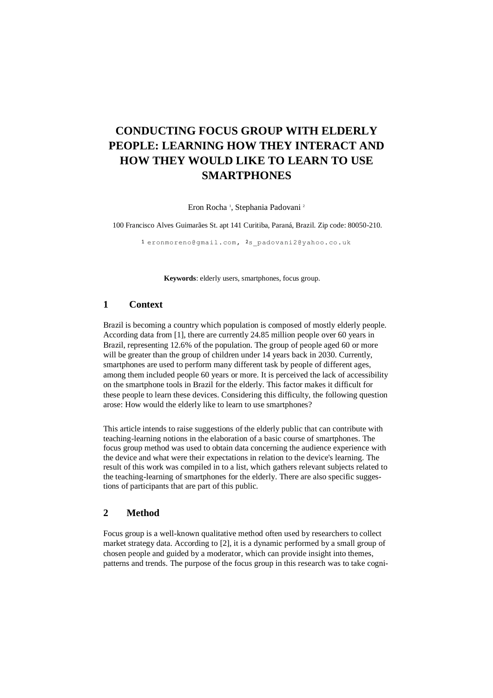# **CONDUCTING FOCUS GROUP WITH ELDERLY PEOPLE: LEARNING HOW THEY INTERACT AND HOW THEY WOULD LIKE TO LEARN TO USE SMARTPHONES**

Eron Rocha<sup>1</sup>, Stephania Padovani<sup>2</sup>

100 Francisco Alves Guimarães St. apt 141 Curitiba, Paraná, Brazil. Zip code: 80050-210.

1 eronmoreno@gmail.com, 2s padovani2@yahoo.co.uk

**Keywords**: elderly users, smartphones, focus group.

# **1 Context**

Brazil is becoming a country which population is composed of mostly elderly people. According data from [1], there are currently 24.85 million people over 60 years in Brazil, representing 12.6% of the population. The group of people aged 60 or more will be greater than the group of children under 14 years back in 2030. Currently, smartphones are used to perform many different task by people of different ages, among them included people 60 years or more. It is perceived the lack of accessibility on the smartphone tools in Brazil for the elderly. This factor makes it difficult for these people to learn these devices. Considering this difficulty, the following question arose: How would the elderly like to learn to use smartphones?

This article intends to raise suggestions of the elderly public that can contribute with teaching-learning notions in the elaboration of a basic course of smartphones. The focus group method was used to obtain data concerning the audience experience with the device and what were their expectations in relation to the device's learning. The result of this work was compiled in to a list, which gathers relevant subjects related to the teaching-learning of smartphones for the elderly. There are also specific suggestions of participants that are part of this public.

## **2 Method**

Focus group is a well-known qualitative method often used by researchers to collect market strategy data. According to [2], it is a dynamic performed by a small group of chosen people and guided by a moderator, which can provide insight into themes, patterns and trends. The purpose of the focus group in this research was to take cogni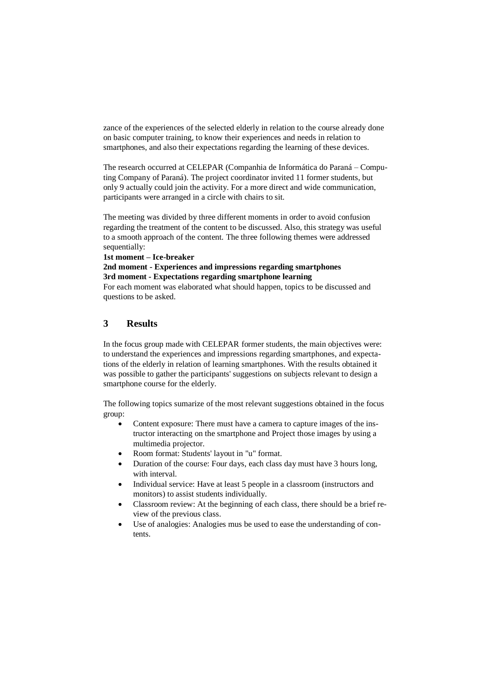zance of the experiences of the selected elderly in relation to the course already done on basic computer training, to know their experiences and needs in relation to smartphones, and also their expectations regarding the learning of these devices.

The research occurred at CELEPAR (Companhia de Informática do Paraná – Computing Company of Paraná). The project coordinator invited 11 former students, but only 9 actually could join the activity. For a more direct and wide communication, participants were arranged in a circle with chairs to sit.

The meeting was divided by three different moments in order to avoid confusion regarding the treatment of the content to be discussed. Also, this strategy was useful to a smooth approach of the content. The three following themes were addressed sequentially:

**1st moment – Ice-breaker**

**2nd moment - Experiences and impressions regarding smartphones 3rd moment - Expectations regarding smartphone learning**

For each moment was elaborated what should happen, topics to be discussed and questions to be asked.

## **3 Results**

In the focus group made with CELEPAR former students, the main objectives were: to understand the experiences and impressions regarding smartphones, and expectations of the elderly in relation of learning smartphones. With the results obtained it was possible to gather the participants' suggestions on subjects relevant to design a smartphone course for the elderly.

The following topics sumarize of the most relevant suggestions obtained in the focus group:

- Content exposure: There must have a camera to capture images of the instructor interacting on the smartphone and Project those images by using a multimedia projector.
- Room format: Students' layout in "u" format.
- Duration of the course: Four days, each class day must have 3 hours long, with interval.
- Individual service: Have at least 5 people in a classroom (instructors and monitors) to assist students individually.
- Classroom review: At the beginning of each class, there should be a brief review of the previous class.
- Use of analogies: Analogies mus be used to ease the understanding of contents.